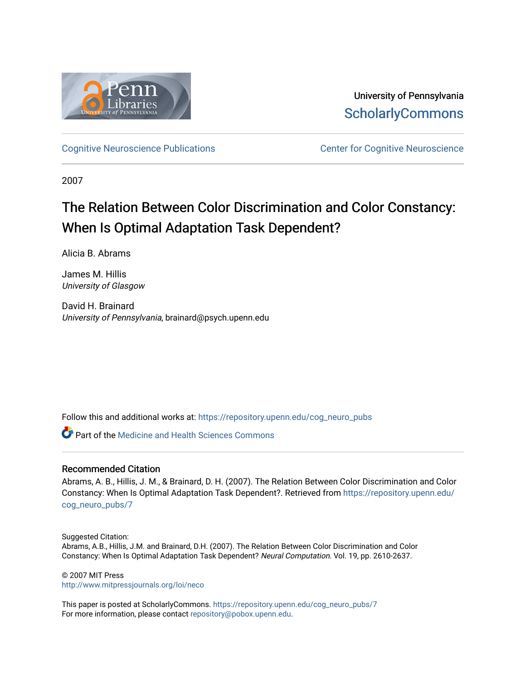

University of Pennsylvania **ScholarlyCommons** 

[Cognitive Neuroscience Publications](https://repository.upenn.edu/cog_neuro_pubs) **CENTE:** Center for Cognitive Neuroscience

2007

# The Relation Between Color Discrimination and Color Constancy: When Is Optimal Adaptation Task Dependent?

Alicia B. Abrams

James M. Hillis University of Glasgow

David H. Brainard University of Pennsylvania, brainard@psych.upenn.edu

Follow this and additional works at: [https://repository.upenn.edu/cog\\_neuro\\_pubs](https://repository.upenn.edu/cog_neuro_pubs?utm_source=repository.upenn.edu%2Fcog_neuro_pubs%2F7&utm_medium=PDF&utm_campaign=PDFCoverPages)

**C** Part of the Medicine and Health Sciences Commons

### Recommended Citation

Abrams, A. B., Hillis, J. M., & Brainard, D. H. (2007). The Relation Between Color Discrimination and Color Constancy: When Is Optimal Adaptation Task Dependent?. Retrieved from [https://repository.upenn.edu/](https://repository.upenn.edu/cog_neuro_pubs/7?utm_source=repository.upenn.edu%2Fcog_neuro_pubs%2F7&utm_medium=PDF&utm_campaign=PDFCoverPages) [cog\\_neuro\\_pubs/7](https://repository.upenn.edu/cog_neuro_pubs/7?utm_source=repository.upenn.edu%2Fcog_neuro_pubs%2F7&utm_medium=PDF&utm_campaign=PDFCoverPages) 

Suggested Citation: Abrams, A.B., Hillis, J.M. and Brainard, D.H. (2007). The Relation Between Color Discrimination and Color Constancy: When Is Optimal Adaptation Task Dependent? Neural Computation. Vol. 19, pp. 2610-2637.

© 2007 MIT Press <http://www.mitpressjournals.org/loi/neco>

This paper is posted at ScholarlyCommons. [https://repository.upenn.edu/cog\\_neuro\\_pubs/7](https://repository.upenn.edu/cog_neuro_pubs/7) For more information, please contact [repository@pobox.upenn.edu.](mailto:repository@pobox.upenn.edu)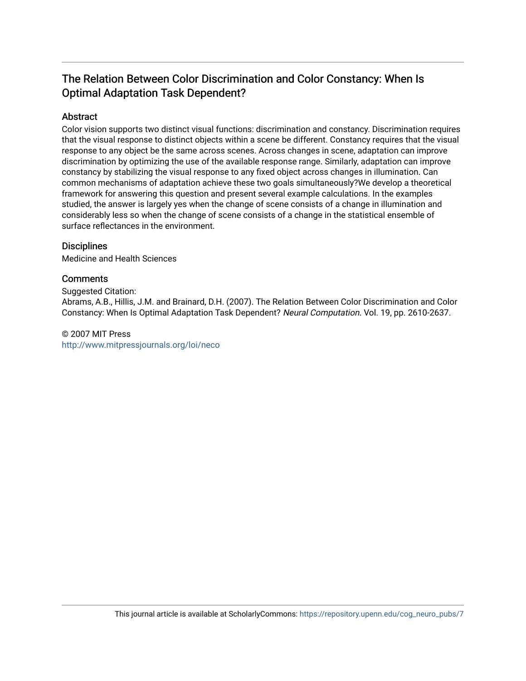## The Relation Between Color Discrimination and Color Constancy: When Is Optimal Adaptation Task Dependent?

### Abstract

Color vision supports two distinct visual functions: discrimination and constancy. Discrimination requires that the visual response to distinct objects within a scene be different. Constancy requires that the visual response to any object be the same across scenes. Across changes in scene, adaptation can improve discrimination by optimizing the use of the available response range. Similarly, adaptation can improve constancy by stabilizing the visual response to any fixed object across changes in illumination. Can common mechanisms of adaptation achieve these two goals simultaneously?We develop a theoretical framework for answering this question and present several example calculations. In the examples studied, the answer is largely yes when the change of scene consists of a change in illumination and considerably less so when the change of scene consists of a change in the statistical ensemble of surface reflectances in the environment.

### **Disciplines**

Medicine and Health Sciences

### **Comments**

Suggested Citation: Abrams, A.B., Hillis, J.M. and Brainard, D.H. (2007). The Relation Between Color Discrimination and Color Constancy: When Is Optimal Adaptation Task Dependent? Neural Computation. Vol. 19, pp. 2610-2637.

© 2007 MIT Press <http://www.mitpressjournals.org/loi/neco>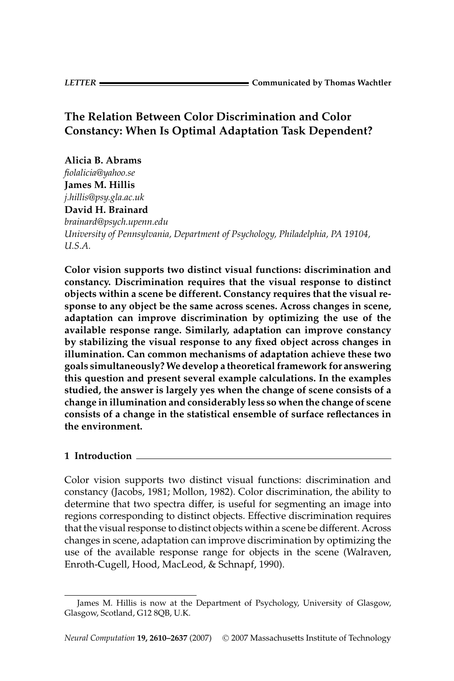**LETTER COMMUNICATER COMMUNICATED <b>COMMUNICATED COMMUNICATED COMMUNICATED COMMUNICATED** 

### **The Relation Between Color Discrimination and Color Constancy: When Is Optimal Adaptation Task Dependent?**

**Alicia B. Abrams** *fiolalicia@yahoo.se* **James M. Hillis** *j.hillis@psy.gla.ac.uk* **David H. Brainard** *brainard@psych.upenn.edu University of Pennsylvania, Department of Psychology, Philadelphia, PA 19104, U.S.A.*

**Color vision supports two distinct visual functions: discrimination and constancy. Discrimination requires that the visual response to distinct objects within a scene be different. Constancy requires that the visual response to any object be the same across scenes. Across changes in scene, adaptation can improve discrimination by optimizing the use of the available response range. Similarly, adaptation can improve constancy by stabilizing the visual response to any fixed object across changes in illumination. Can common mechanisms of adaptation achieve these two goals simultaneously? We develop a theoretical framework for answering this question and present several example calculations. In the examples studied, the answer is largely yes when the change of scene consists of a change in illumination and considerably less so when the change of scene consists of a change in the statistical ensemble of surface reflectances in the environment.**

#### **1 Introduction**

Color vision supports two distinct visual functions: discrimination and constancy (Jacobs, 1981; Mollon, 1982). Color discrimination, the ability to determine that two spectra differ, is useful for segmenting an image into regions corresponding to distinct objects. Effective discrimination requires that the visual response to distinct objects within a scene be different. Across changes in scene, adaptation can improve discrimination by optimizing the use of the available response range for objects in the scene (Walraven, Enroth-Cugell, Hood, MacLeod, & Schnapf, 1990).

James M. Hillis is now at the Department of Psychology, University of Glasgow, Glasgow, Scotland, G12 8QB, U.K.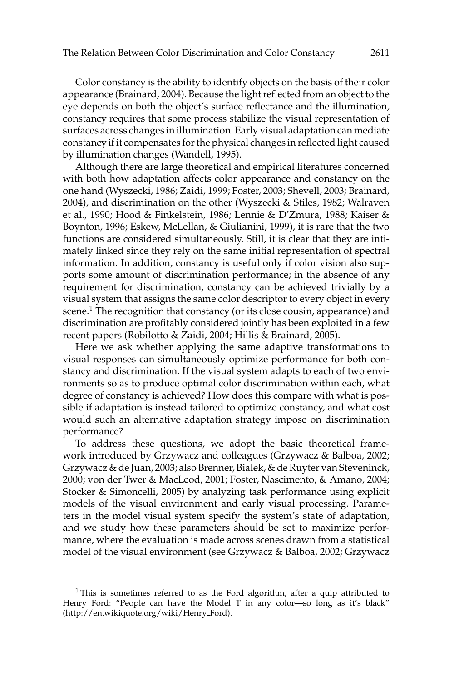Color constancy is the ability to identify objects on the basis of their color appearance (Brainard, 2004). Because the light reflected from an object to the eye depends on both the object's surface reflectance and the illumination, constancy requires that some process stabilize the visual representation of surfaces across changes in illumination. Early visual adaptation can mediate constancy if it compensates for the physical changes in reflected light caused by illumination changes (Wandell, 1995).

Although there are large theoretical and empirical literatures concerned with both how adaptation affects color appearance and constancy on the one hand (Wyszecki, 1986; Zaidi, 1999; Foster, 2003; Shevell, 2003; Brainard, 2004), and discrimination on the other (Wyszecki & Stiles, 1982; Walraven et al., 1990; Hood & Finkelstein, 1986; Lennie & D'Zmura, 1988; Kaiser & Boynton, 1996; Eskew, McLellan, & Giulianini, 1999), it is rare that the two functions are considered simultaneously. Still, it is clear that they are intimately linked since they rely on the same initial representation of spectral information. In addition, constancy is useful only if color vision also supports some amount of discrimination performance; in the absence of any requirement for discrimination, constancy can be achieved trivially by a visual system that assigns the same color descriptor to every object in every scene.<sup>1</sup> The recognition that constancy (or its close cousin, appearance) and discrimination are profitably considered jointly has been exploited in a few recent papers (Robilotto & Zaidi, 2004; Hillis & Brainard, 2005).

Here we ask whether applying the same adaptive transformations to visual responses can simultaneously optimize performance for both constancy and discrimination. If the visual system adapts to each of two environments so as to produce optimal color discrimination within each, what degree of constancy is achieved? How does this compare with what is possible if adaptation is instead tailored to optimize constancy, and what cost would such an alternative adaptation strategy impose on discrimination performance?

To address these questions, we adopt the basic theoretical framework introduced by Grzywacz and colleagues (Grzywacz & Balboa, 2002; Grzywacz & de Juan, 2003; also Brenner, Bialek, & de Ruyter van Steveninck, 2000; von der Twer & MacLeod, 2001; Foster, Nascimento, & Amano, 2004; Stocker & Simoncelli, 2005) by analyzing task performance using explicit models of the visual environment and early visual processing. Parameters in the model visual system specify the system's state of adaptation, and we study how these parameters should be set to maximize performance, where the evaluation is made across scenes drawn from a statistical model of the visual environment (see Grzywacz & Balboa, 2002; Grzywacz

 $1$ This is sometimes referred to as the Ford algorithm, after a quip attributed to Henry Ford: "People can have the Model T in any color—so long as it's black" (http://en.wikiquote.org/wiki/Henry Ford).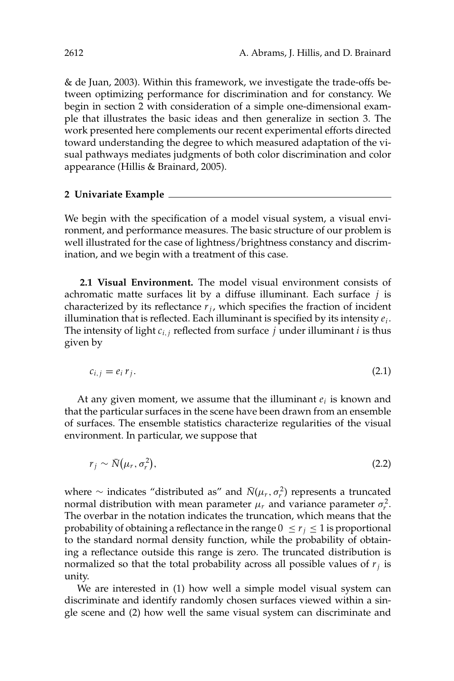& de Juan, 2003). Within this framework, we investigate the trade-offs between optimizing performance for discrimination and for constancy. We begin in section 2 with consideration of a simple one-dimensional example that illustrates the basic ideas and then generalize in section 3. The work presented here complements our recent experimental efforts directed toward understanding the degree to which measured adaptation of the visual pathways mediates judgments of both color discrimination and color appearance (Hillis & Brainard, 2005).

#### **2 Univariate Example**

We begin with the specification of a model visual system, a visual environment, and performance measures. The basic structure of our problem is well illustrated for the case of lightness/brightness constancy and discrimination, and we begin with a treatment of this case.

**2.1 Visual Environment.** The model visual environment consists of achromatic matte surfaces lit by a diffuse illuminant. Each surface *j* is characterized by its reflectance  $r_i$ , which specifies the fraction of incident illumination that is reflected. Each illuminant is specified by its intensity  $e_i$ . The intensity of light *ci*,*<sup>j</sup>* reflected from surface *j* under illuminant *i* is thus given by

$$
c_{i,j} = e_i r_j. \tag{2.1}
$$

At any given moment, we assume that the illuminant *ei* is known and that the particular surfaces in the scene have been drawn from an ensemble of surfaces. The ensemble statistics characterize regularities of the visual environment. In particular, we suppose that

 $r_j \sim \bar{N}(\mu_r, \sigma_r^2)$ ,  $(2.2)$ 

where ∼ indicates "distributed as" and  $\bar{N}(\mu_r, \sigma_r^2)$  represents a truncated normal distribution with mean parameter  $\mu_r$  and variance parameter  $\sigma_r^2$ . The overbar in the notation indicates the truncation, which means that the probability of obtaining a reflectance in the range  $0 \le r_i \le 1$  is proportional to the standard normal density function, while the probability of obtaining a reflectance outside this range is zero. The truncated distribution is normalized so that the total probability across all possible values of  $r_i$  is unity.

We are interested in (1) how well a simple model visual system can discriminate and identify randomly chosen surfaces viewed within a single scene and (2) how well the same visual system can discriminate and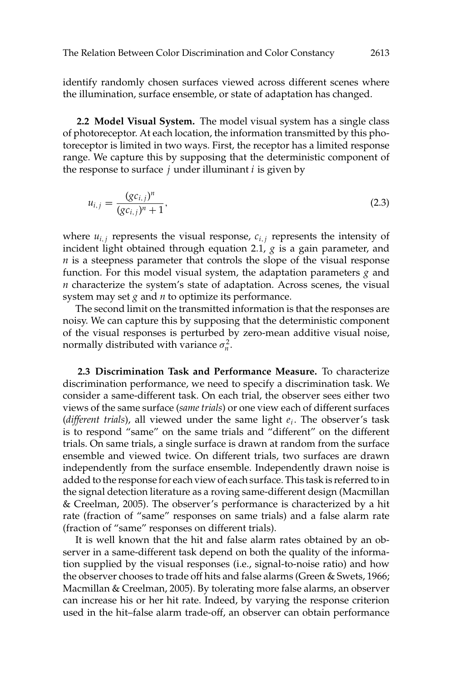identify randomly chosen surfaces viewed across different scenes where the illumination, surface ensemble, or state of adaptation has changed.

**2.2 Model Visual System.** The model visual system has a single class of photoreceptor. At each location, the information transmitted by this photoreceptor is limited in two ways. First, the receptor has a limited response range. We capture this by supposing that the deterministic component of the response to surface *j* under illuminant *i* is given by

$$
u_{i,j} = \frac{(gc_{i,j})^n}{(gc_{i,j})^n + 1},
$$
\n(2.3)

where  $u_{i,j}$  represents the visual response,  $c_{i,j}$  represents the intensity of incident light obtained through equation 2.1, *g* is a gain parameter, and *n* is a steepness parameter that controls the slope of the visual response function. For this model visual system, the adaptation parameters *g* and *n* characterize the system's state of adaptation. Across scenes, the visual system may set *g* and *n* to optimize its performance.

The second limit on the transmitted information is that the responses are noisy. We can capture this by supposing that the deterministic component of the visual responses is perturbed by zero-mean additive visual noise, normally distributed with variance  $\sigma_n^2$ .

**2.3 Discrimination Task and Performance Measure.** To characterize discrimination performance, we need to specify a discrimination task. We consider a same-different task. On each trial, the observer sees either two views of the same surface (*same trials*) or one view each of different surfaces (*different trials*), all viewed under the same light *ei* . The observer's task is to respond "same" on the same trials and "different" on the different trials. On same trials, a single surface is drawn at random from the surface ensemble and viewed twice. On different trials, two surfaces are drawn independently from the surface ensemble. Independently drawn noise is added to the response for each view of each surface. This task is referred to in the signal detection literature as a roving same-different design (Macmillan & Creelman, 2005). The observer's performance is characterized by a hit rate (fraction of "same" responses on same trials) and a false alarm rate (fraction of "same" responses on different trials).

It is well known that the hit and false alarm rates obtained by an observer in a same-different task depend on both the quality of the information supplied by the visual responses (i.e., signal-to-noise ratio) and how the observer chooses to trade off hits and false alarms (Green & Swets, 1966; Macmillan & Creelman, 2005). By tolerating more false alarms, an observer can increase his or her hit rate. Indeed, by varying the response criterion used in the hit–false alarm trade-off, an observer can obtain performance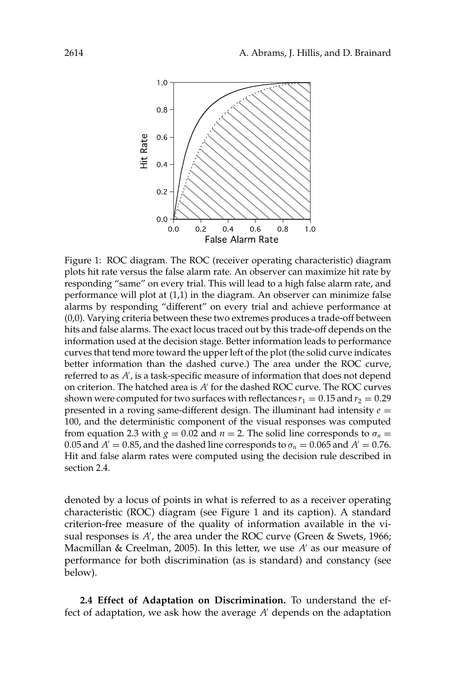

Figure 1: ROC diagram. The ROC (receiver operating characteristic) diagram plots hit rate versus the false alarm rate. An observer can maximize hit rate by responding "same" on every trial. This will lead to a high false alarm rate, and performance will plot at (1,1) in the diagram. An observer can minimize false alarms by responding "different" on every trial and achieve performance at (0,0). Varying criteria between these two extremes produces a trade-off between hits and false alarms. The exact locus traced out by this trade-off depends on the information used at the decision stage. Better information leads to performance curves that tend more toward the upper left of the plot (the solid curve indicates better information than the dashed curve.) The area under the ROC curve, referred to as *A* , is a task-specific measure of information that does not depend on criterion. The hatched area is *A* for the dashed ROC curve. The ROC curves shown were computed for two surfaces with reflectances  $r_1 = 0.15$  and  $r_2 = 0.29$ presented in a roving same-different design. The illuminant had intensity  $e =$ 100, and the deterministic component of the visual responses was computed from equation 2.3 with  $g = 0.02$  and  $n = 2$ . The solid line corresponds to  $\sigma_n =$ 0.05 and  $A' = 0.85$ , and the dashed line corresponds to  $\sigma_n = 0.065$  and  $A' = 0.76$ . Hit and false alarm rates were computed using the decision rule described in section 2.4.

denoted by a locus of points in what is referred to as a receiver operating characteristic (ROC) diagram (see Figure 1 and its caption). A standard criterion-free measure of the quality of information available in the visual responses is *A* , the area under the ROC curve (Green & Swets, 1966; Macmillan & Creelman, 2005). In this letter, we use  $A'$  as our measure of performance for both discrimination (as is standard) and constancy (see below).

**2.4 Effect of Adaptation on Discrimination.** To understand the effect of adaptation, we ask how the average *A'* depends on the adaptation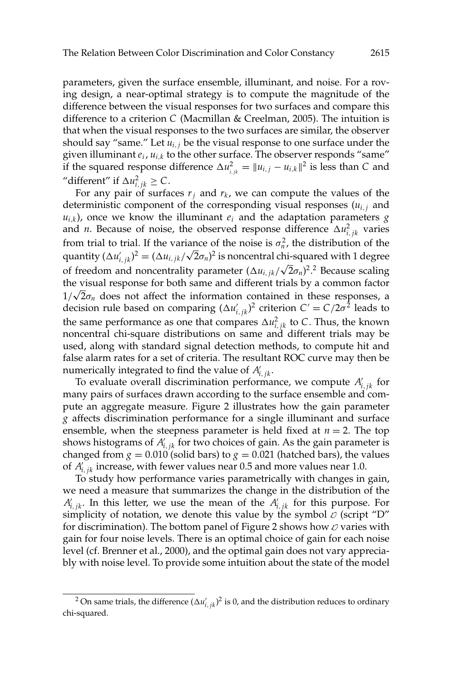parameters, given the surface ensemble, illuminant, and noise. For a roving design, a near-optimal strategy is to compute the magnitude of the difference between the visual responses for two surfaces and compare this difference to a criterion *C* (Macmillan & Creelman, 2005). The intuition is that when the visual responses to the two surfaces are similar, the observer should say "same." Let  $u_{i,j}$  be the visual response to one surface under the given illuminant *ei* , *ui*,*<sup>k</sup>* to the other surface. The observer responds "same" if the squared response difference  $\Delta u_{i,jk}^2 = ||u_{i,j} - u_{i,k}||^2$  is less than *C* and "different" if  $\Delta u_{i,jk}^2 \geq C$ .

For any pair of surfaces  $r_i$  and  $r_k$ , we can compute the values of the deterministic component of the corresponding visual responses (*ui*,*<sup>j</sup>* and  $u_{i,k}$ ), once we know the illuminant  $e_i$  and the adaptation parameters *g* and *n*. Because of noise, the observed response difference  $\Delta u_{i,jk}^2$  varies from trial to trial. If the variance of the noise is  $\sigma_n^2$ , the distribution of the quantity  $(\Delta u'_{i,jk})^2 = (\Delta u_{i,jk}/\sqrt{2}\sigma_n)^2$  is noncentral chi-squared with 1 degree of freedom and noncentrality parameter  $(\Delta u_{i,jk}/\sqrt{2}\sigma_n)^2$ .<sup>2</sup> Because scaling the visual response for both same and different trials by a common factor  $1/\sqrt{2}\sigma_n$  does not affect the information contained in these responses, a decision rule based on comparing  $(\Delta u'_{i,jk})^2$  criterion  $C' = C/2\sigma^2$  leads to the same performance as one that compares  $\Delta u_{i,jk}^2$  to *C*. Thus, the known noncentral chi-square distributions on same and different trials may be used, along with standard signal detection methods, to compute hit and false alarm rates for a set of criteria. The resultant ROC curve may then be numerically integrated to find the value of  $A'_{i,\,jk}$ .

To evaluate overall discrimination performance, we compute *A <sup>i</sup>*,*jk* for many pairs of surfaces drawn according to the surface ensemble and compute an aggregate measure. Figure 2 illustrates how the gain parameter *g* affects discrimination performance for a single illuminant and surface ensemble, when the steepness parameter is held fixed at  $n = 2$ . The top shows histograms of *A <sup>i</sup>*,*jk* for two choices of gain. As the gain parameter is changed from  $g = 0.010$  (solid bars) to  $g = 0.021$  (hatched bars), the values of *A <sup>i</sup>*,*jk* increase, with fewer values near 0.5 and more values near 1.0.

To study how performance varies parametrically with changes in gain, we need a measure that summarizes the change in the distribution of the  $A'_{i,jk}$ . In this letter, we use the mean of the  $A'_{i,jk}$  for this purpose. For simplicity of notation, we denote this value by the symbol  $\mathcal{O}$  (script "D" for discrimination). The bottom panel of Figure 2 shows how  $\mathcal O$  varies with gain for four noise levels. There is an optimal choice of gain for each noise level (cf. Brenner et al., 2000), and the optimal gain does not vary appreciably with noise level. To provide some intuition about the state of the model

<sup>&</sup>lt;sup>2</sup> On same trials, the difference  $(\Delta u_{i,\,jk}')^2$  is 0, and the distribution reduces to ordinary chi-squared.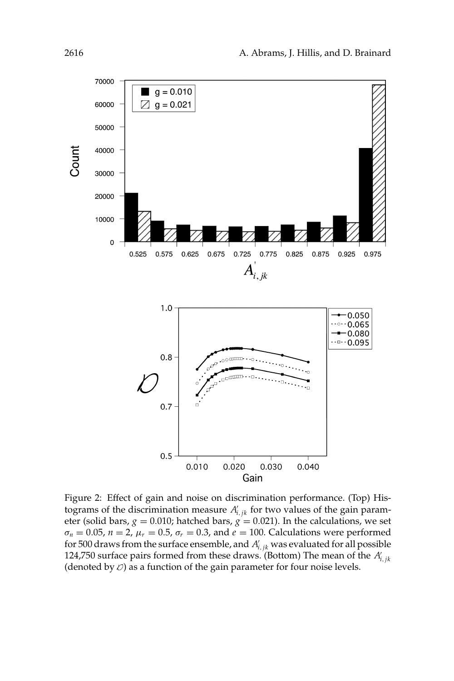

Figure 2: Effect of gain and noise on discrimination performance. (Top) Histograms of the discrimination measure *A <sup>i</sup>*,*jk* for two values of the gain parameter (solid bars,  $g = 0.010$ ; hatched bars,  $g = 0.021$ ). In the calculations, we set  $\sigma_n = 0.05$ ,  $n = 2$ ,  $\mu_r = 0.5$ ,  $\sigma_r = 0.3$ , and  $e = 100$ . Calculations were performed for 500 draws from the surface ensemble, and *A <sup>i</sup>*,*jk* was evaluated for all possible 124,750 surface pairs formed from these draws. (Bottom) The mean of the *A i*,*jk* (denoted by  $\mathcal{O}$ ) as a function of the gain parameter for four noise levels.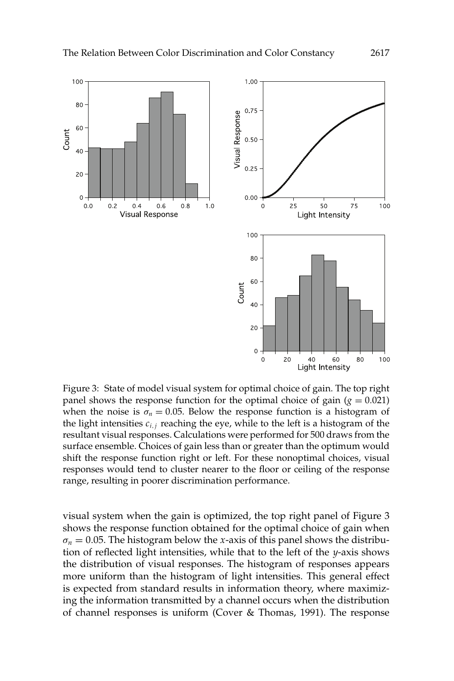

Figure 3: State of model visual system for optimal choice of gain. The top right panel shows the response function for the optimal choice of gain ( $g = 0.021$ ) when the noise is  $\sigma_n = 0.05$ . Below the response function is a histogram of the light intensities *ci*,*<sup>j</sup>* reaching the eye, while to the left is a histogram of the resultant visual responses. Calculations were performed for 500 draws from the surface ensemble. Choices of gain less than or greater than the optimum would shift the response function right or left. For these nonoptimal choices, visual responses would tend to cluster nearer to the floor or ceiling of the response range, resulting in poorer discrimination performance.

visual system when the gain is optimized, the top right panel of Figure 3 shows the response function obtained for the optimal choice of gain when  $\sigma_n = 0.05$ . The histogram below the *x*-axis of this panel shows the distribution of reflected light intensities, while that to the left of the *y*-axis shows the distribution of visual responses. The histogram of responses appears more uniform than the histogram of light intensities. This general effect is expected from standard results in information theory, where maximizing the information transmitted by a channel occurs when the distribution of channel responses is uniform (Cover & Thomas, 1991). The response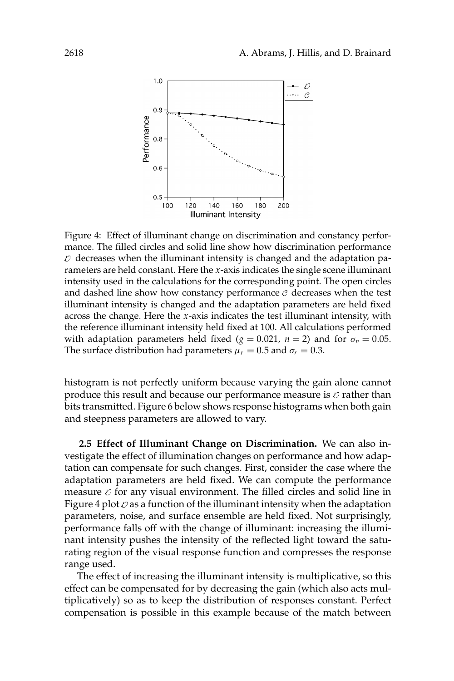

Figure 4: Effect of illuminant change on discrimination and constancy performance. The filled circles and solid line show how discrimination performance  $O$  decreases when the illuminant intensity is changed and the adaptation parameters are held constant. Here the *x*-axis indicates the single scene illuminant intensity used in the calculations for the corresponding point. The open circles and dashed line show how constancy performance  $\mathcal C$  decreases when the test illuminant intensity is changed and the adaptation parameters are held fixed across the change. Here the *x*-axis indicates the test illuminant intensity, with the reference illuminant intensity held fixed at 100. All calculations performed with adaptation parameters held fixed ( $g = 0.021$ ,  $n = 2$ ) and for  $\sigma_n = 0.05$ . The surface distribution had parameters  $\mu_r = 0.5$  and  $\sigma_r = 0.3$ .

histogram is not perfectly uniform because varying the gain alone cannot produce this result and because our performance measure is  $\mathcal D$  rather than bits transmitted. Figure 6 below shows response histograms when both gain and steepness parameters are allowed to vary.

**2.5 Effect of Illuminant Change on Discrimination.** We can also investigate the effect of illumination changes on performance and how adaptation can compensate for such changes. First, consider the case where the adaptation parameters are held fixed. We can compute the performance measure  $\mathcal O$  for any visual environment. The filled circles and solid line in Figure 4 plot  $\varnothing$  as a function of the illuminant intensity when the adaptation parameters, noise, and surface ensemble are held fixed. Not surprisingly, performance falls off with the change of illuminant: increasing the illuminant intensity pushes the intensity of the reflected light toward the saturating region of the visual response function and compresses the response range used.

The effect of increasing the illuminant intensity is multiplicative, so this effect can be compensated for by decreasing the gain (which also acts multiplicatively) so as to keep the distribution of responses constant. Perfect compensation is possible in this example because of the match between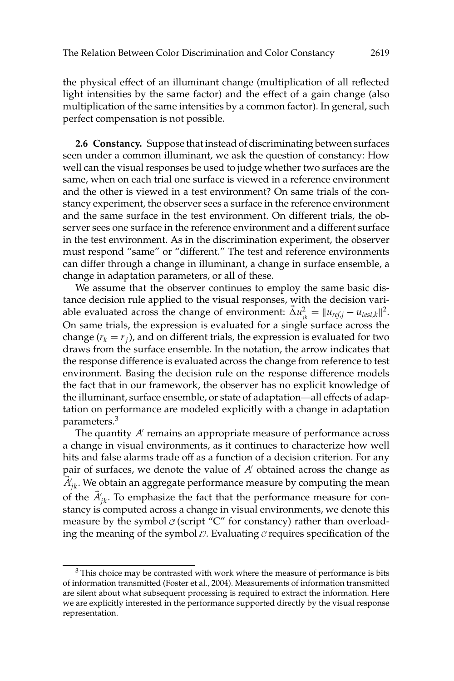the physical effect of an illuminant change (multiplication of all reflected light intensities by the same factor) and the effect of a gain change (also multiplication of the same intensities by a common factor). In general, such perfect compensation is not possible.

**2.6 Constancy.** Suppose that instead of discriminating between surfaces seen under a common illuminant, we ask the question of constancy: How well can the visual responses be used to judge whether two surfaces are the same, when on each trial one surface is viewed in a reference environment and the other is viewed in a test environment? On same trials of the constancy experiment, the observer sees a surface in the reference environment and the same surface in the test environment. On different trials, the observer sees one surface in the reference environment and a different surface in the test environment. As in the discrimination experiment, the observer must respond "same" or "different." The test and reference environments can differ through a change in illuminant, a change in surface ensemble, a change in adaptation parameters, or all of these.

We assume that the observer continues to employ the same basic distance decision rule applied to the visual responses, with the decision variable evaluated across the change of environment:  $\vec{\Delta} u_{jk}^2 = ||u_{\text{ref},j} - u_{\text{test},k}||^2$ . On same trials, the expression is evaluated for a single surface across the change  $(r_k = r_i)$ , and on different trials, the expression is evaluated for two draws from the surface ensemble. In the notation, the arrow indicates that the response difference is evaluated across the change from reference to test environment. Basing the decision rule on the response difference models the fact that in our framework, the observer has no explicit knowledge of the illuminant, surface ensemble, or state of adaptation—all effects of adaptation on performance are modeled explicitly with a change in adaptation parameters.3

The quantity *A* remains an appropriate measure of performance across a change in visual environments, as it continues to characterize how well hits and false alarms trade off as a function of a decision criterion. For any pair of surfaces, we denote the value of *A'* obtained across the change as  $A'_{jk}$ . We obtain an aggregate performance measure by computing the mean of the  $A'_{jk}$ . To emphasize the fact that the performance measure for constancy is computed across a change in visual environments, we denote this measure by the symbol  $\mathcal C$  (script "C" for constancy) rather than overloading the meaning of the symbol  $\varnothing$ . Evaluating  $\varnothing$  requires specification of the

<sup>&</sup>lt;sup>3</sup> This choice may be contrasted with work where the measure of performance is bits of information transmitted (Foster et al., 2004). Measurements of information transmitted are silent about what subsequent processing is required to extract the information. Here we are explicitly interested in the performance supported directly by the visual response representation.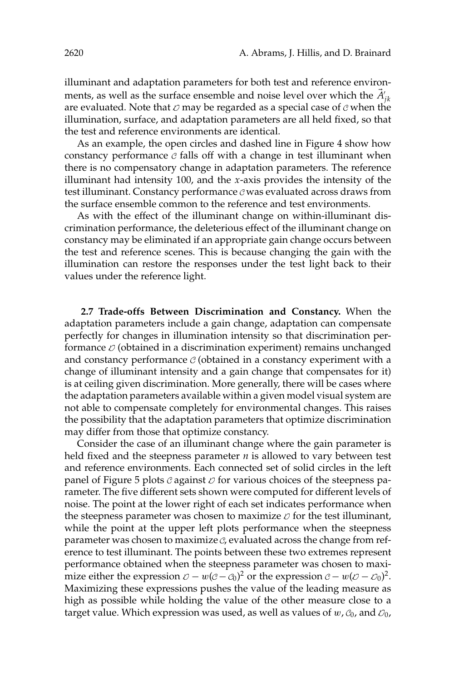illuminant and adaptation parameters for both test and reference environments, as well as the surface ensemble and noise level over which the  $A'_{jk}$ are evaluated. Note that  $\mathcal O$  may be regarded as a special case of  $\mathcal O$  when the illumination, surface, and adaptation parameters are all held fixed, so that the test and reference environments are identical.

As an example, the open circles and dashed line in Figure 4 show how constancy performance  $\mathcal C$  falls off with a change in test illuminant when there is no compensatory change in adaptation parameters. The reference illuminant had intensity 100, and the *x*-axis provides the intensity of the test illuminant. Constancy performance  $\mathcal C$  was evaluated across draws from the surface ensemble common to the reference and test environments.

As with the effect of the illuminant change on within-illuminant discrimination performance, the deleterious effect of the illuminant change on constancy may be eliminated if an appropriate gain change occurs between the test and reference scenes. This is because changing the gain with the illumination can restore the responses under the test light back to their values under the reference light.

**2.7 Trade-offs Between Discrimination and Constancy.** When the adaptation parameters include a gain change, adaptation can compensate perfectly for changes in illumination intensity so that discrimination performance  $\mathcal{O}$  (obtained in a discrimination experiment) remains unchanged and constancy performance  $\mathcal{C}$  (obtained in a constancy experiment with a change of illuminant intensity and a gain change that compensates for it) is at ceiling given discrimination. More generally, there will be cases where the adaptation parameters available within a given model visual system are not able to compensate completely for environmental changes. This raises the possibility that the adaptation parameters that optimize discrimination may differ from those that optimize constancy.

Consider the case of an illuminant change where the gain parameter is held fixed and the steepness parameter *n* is allowed to vary between test and reference environments. Each connected set of solid circles in the left panel of Figure 5 plots  $\mathcal C$  against  $\mathcal D$  for various choices of the steepness parameter. The five different sets shown were computed for different levels of noise. The point at the lower right of each set indicates performance when the steepness parameter was chosen to maximize  $\mathcal{O}$  for the test illuminant, while the point at the upper left plots performance when the steepness parameter was chosen to maximize  $\mathcal{C}$ , evaluated across the change from reference to test illuminant. The points between these two extremes represent performance obtained when the steepness parameter was chosen to maximize either the expression  $\mathcal{O} - w(\mathcal{C} - \mathcal{C}_0)^2$  or the expression  $\mathcal{C} - w(\mathcal{O} - \mathcal{O}_0)^2$ . Maximizing these expressions pushes the value of the leading measure as high as possible while holding the value of the other measure close to a target value. Which expression was used, as well as values of  $w$ ,  $\mathcal{C}_0$ , and  $\mathcal{D}_0$ ,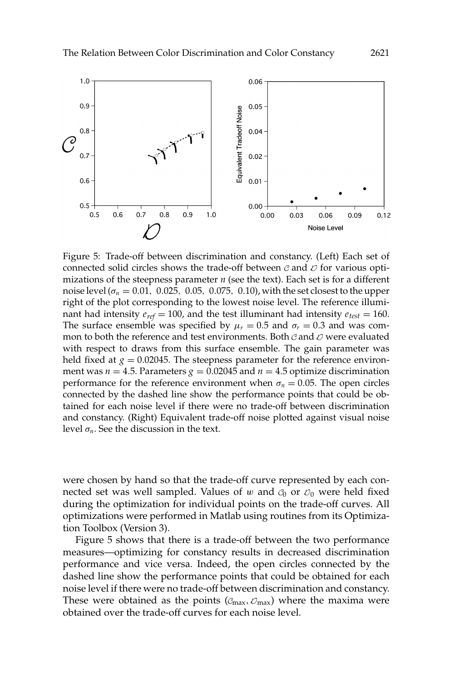

Figure 5: Trade-off between discrimination and constancy. (Left) Each set of connected solid circles shows the trade-off between  $\mathcal C$  and  $\mathcal D$  for various optimizations of the steepness parameter *n* (see the text). Each set is for a different noise level ( $σ<sub>n</sub> = 0.01, 0.025, 0.05, 0.075, 0.10$ ), with the set closest to the upper right of the plot corresponding to the lowest noise level. The reference illuminant had intensity  $e_{ref} = 100$ , and the test illuminant had intensity  $e_{test} = 160$ . The surface ensemble was specified by  $\mu_r = 0.5$  and  $\sigma_r = 0.3$  and was common to both the reference and test environments. Both  $\mathcal C$  and  $\mathcal D$  were evaluated with respect to draws from this surface ensemble. The gain parameter was held fixed at  $g = 0.02045$ . The steepness parameter for the reference environment was  $n = 4.5$ . Parameters  $g = 0.02045$  and  $n = 4.5$  optimize discrimination performance for the reference environment when  $\sigma_n = 0.05$ . The open circles connected by the dashed line show the performance points that could be obtained for each noise level if there were no trade-off between discrimination and constancy. (Right) Equivalent trade-off noise plotted against visual noise level  $\sigma_n$ . See the discussion in the text.

were chosen by hand so that the trade-off curve represented by each connected set was well sampled. Values of w and  $\mathcal{C}_0$  or  $\mathcal{D}_0$  were held fixed during the optimization for individual points on the trade-off curves. All optimizations were performed in Matlab using routines from its Optimization Toolbox (Version 3).

Figure 5 shows that there is a trade-off between the two performance measures—optimizing for constancy results in decreased discrimination performance and vice versa. Indeed, the open circles connected by the dashed line show the performance points that could be obtained for each noise level if there were no trade-off between discrimination and constancy. These were obtained as the points ( $C_{\text{max}}$ ,  $D_{\text{max}}$ ) where the maxima were obtained over the trade-off curves for each noise level.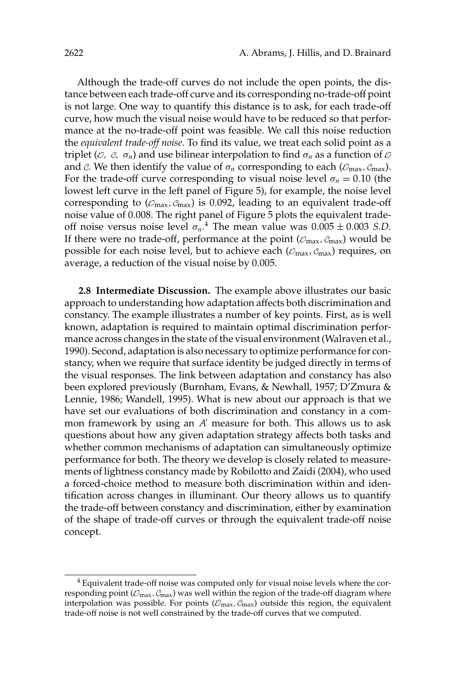Although the trade-off curves do not include the open points, the distance between each trade-off curve and its corresponding no-trade-off point is not large. One way to quantify this distance is to ask, for each trade-off curve, how much the visual noise would have to be reduced so that performance at the no-trade-off point was feasible. We call this noise reduction the *equivalent trade-off noise*. To find its value, we treat each solid point as a triplet ( $\varnothing$ ,  $\varnothing$ ,  $\sigma_n$ ) and use bilinear interpolation to find  $\sigma_n$  as a function of  $\varnothing$ and  $\mathcal{C}$ . We then identify the value of  $\sigma_n$  corresponding to each ( $\mathcal{O}_{\text{max}}, \mathcal{C}_{\text{max}}$ ). For the trade-off curve corresponding to visual noise level  $\sigma_n = 0.10$  (the lowest left curve in the left panel of Figure 5), for example, the noise level corresponding to ( $\mathcal{O}_{\text{max}}$ ,  $\mathcal{C}_{\text{max}}$ ) is 0.092, leading to an equivalent trade-off noise value of 0.008. The right panel of Figure 5 plots the equivalent tradeoff noise versus noise level  $\sigma_n$ <sup>4</sup> The mean value was  $0.005 \pm 0.003$  *S.D.* If there were no trade-off, performance at the point ( $\mathcal{O}_{\text{max}}$ ,  $\mathcal{C}_{\text{max}}$ ) would be possible for each noise level, but to achieve each ( $\mathcal{O}_{\text{max}}$ ,  $\mathcal{C}_{\text{max}}$ ) requires, on average, a reduction of the visual noise by 0.005.

**2.8 Intermediate Discussion.** The example above illustrates our basic approach to understanding how adaptation affects both discrimination and constancy. The example illustrates a number of key points. First, as is well known, adaptation is required to maintain optimal discrimination performance across changes in the state of the visual environment (Walraven et al., 1990). Second, adaptation is also necessary to optimize performance for constancy, when we require that surface identity be judged directly in terms of the visual responses. The link between adaptation and constancy has also been explored previously (Burnham, Evans, & Newhall, 1957; D'Zmura & Lennie, 1986; Wandell, 1995). What is new about our approach is that we have set our evaluations of both discrimination and constancy in a common framework by using an *A* measure for both. This allows us to ask questions about how any given adaptation strategy affects both tasks and whether common mechanisms of adaptation can simultaneously optimize performance for both. The theory we develop is closely related to measurements of lightness constancy made by Robilotto and Zaidi (2004), who used a forced-choice method to measure both discrimination within and identification across changes in illuminant. Our theory allows us to quantify the trade-off between constancy and discrimination, either by examination of the shape of trade-off curves or through the equivalent trade-off noise concept.

<sup>4</sup> Equivalent trade-off noise was computed only for visual noise levels where the corresponding point ( $\mathcal{O}_{\text{max}}$ ,  $\mathcal{O}_{\text{max}}$ ) was well within the region of the trade-off diagram where interpolation was possible. For points ( $\mathcal{O}_{\text{max}}$ ,  $\mathcal{C}_{\text{max}}$ ) outside this region, the equivalent trade-off noise is not well constrained by the trade-off curves that we computed.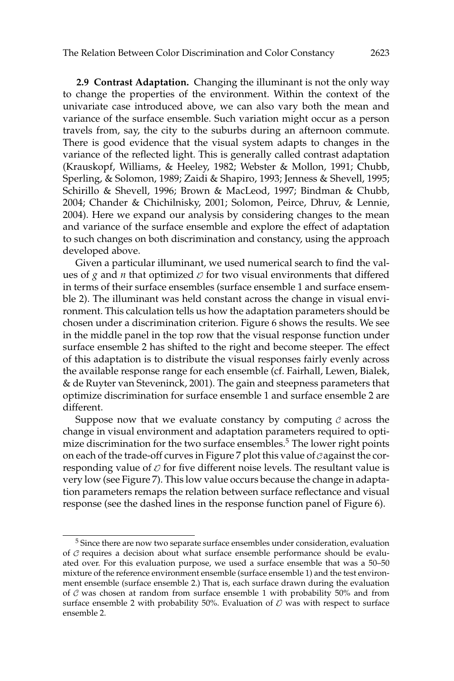**2.9 Contrast Adaptation.** Changing the illuminant is not the only way to change the properties of the environment. Within the context of the univariate case introduced above, we can also vary both the mean and variance of the surface ensemble. Such variation might occur as a person travels from, say, the city to the suburbs during an afternoon commute. There is good evidence that the visual system adapts to changes in the variance of the reflected light. This is generally called contrast adaptation (Krauskopf, Williams, & Heeley, 1982; Webster & Mollon, 1991; Chubb, Sperling, & Solomon, 1989; Zaidi & Shapiro, 1993; Jenness & Shevell, 1995; Schirillo & Shevell, 1996; Brown & MacLeod, 1997; Bindman & Chubb, 2004; Chander & Chichilnisky, 2001; Solomon, Peirce, Dhruv, & Lennie, 2004). Here we expand our analysis by considering changes to the mean and variance of the surface ensemble and explore the effect of adaptation to such changes on both discrimination and constancy, using the approach developed above.

Given a particular illuminant, we used numerical search to find the values of  $g$  and  $n$  that optimized  $\mathcal O$  for two visual environments that differed in terms of their surface ensembles (surface ensemble 1 and surface ensemble 2). The illuminant was held constant across the change in visual environment. This calculation tells us how the adaptation parameters should be chosen under a discrimination criterion. Figure 6 shows the results. We see in the middle panel in the top row that the visual response function under surface ensemble 2 has shifted to the right and become steeper. The effect of this adaptation is to distribute the visual responses fairly evenly across the available response range for each ensemble (cf. Fairhall, Lewen, Bialek, & de Ruyter van Steveninck, 2001). The gain and steepness parameters that optimize discrimination for surface ensemble 1 and surface ensemble 2 are different.

Suppose now that we evaluate constancy by computing  $\mathcal C$  across the change in visual environment and adaptation parameters required to optimize discrimination for the two surface ensembles.<sup>5</sup> The lower right points on each of the trade-off curves in Figure 7 plot this value of  $c$  against the corresponding value of  $\mathcal O$  for five different noise levels. The resultant value is very low (see Figure 7). This low value occurs because the change in adaptation parameters remaps the relation between surface reflectance and visual response (see the dashed lines in the response function panel of Figure 6).

<sup>&</sup>lt;sup>5</sup> Since there are now two separate surface ensembles under consideration, evaluation of  $C$  requires a decision about what surface ensemble performance should be evaluated over. For this evaluation purpose, we used a surface ensemble that was a 50–50 mixture of the reference environment ensemble (surface ensemble 1) and the test environment ensemble (surface ensemble 2.) That is, each surface drawn during the evaluation of  $C$  was chosen at random from surface ensemble 1 with probability 50% and from surface ensemble 2 with probability 50%. Evaluation of  $\mathcal{O}$  was with respect to surface ensemble 2.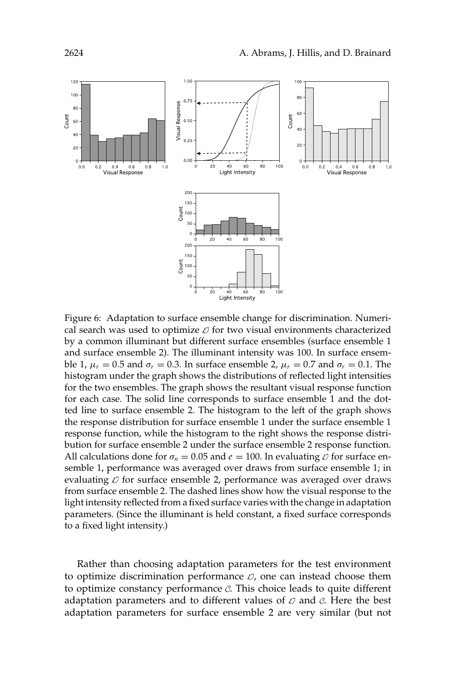

Figure 6: Adaptation to surface ensemble change for discrimination. Numerical search was used to optimize  $\mathcal O$  for two visual environments characterized by a common illuminant but different surface ensembles (surface ensemble 1 and surface ensemble 2). The illuminant intensity was 100. In surface ensemble 1,  $\mu_r = 0.5$  and  $\sigma_r = 0.3$ . In surface ensemble 2,  $\mu_r = 0.7$  and  $\sigma_r = 0.1$ . The histogram under the graph shows the distributions of reflected light intensities for the two ensembles. The graph shows the resultant visual response function for each case. The solid line corresponds to surface ensemble 1 and the dotted line to surface ensemble 2. The histogram to the left of the graph shows the response distribution for surface ensemble 1 under the surface ensemble 1 response function, while the histogram to the right shows the response distribution for surface ensemble 2 under the surface ensemble 2 response function. All calculations done for  $\sigma_n = 0.05$  and  $e = 100$ . In evaluating  $\varnothing$  for surface ensemble 1, performance was averaged over draws from surface ensemble 1; in evaluating  $\varnothing$  for surface ensemble 2, performance was averaged over draws from surface ensemble 2. The dashed lines show how the visual response to the light intensity reflected from a fixed surface varies with the change in adaptation parameters. (Since the illuminant is held constant, a fixed surface corresponds to a fixed light intensity.)

Rather than choosing adaptation parameters for the test environment to optimize discrimination performance  $\mathcal{O}$ , one can instead choose them to optimize constancy performance  $C$ . This choice leads to quite different adaptation parameters and to different values of  $\mathcal O$  and  $\mathcal C$ . Here the best adaptation parameters for surface ensemble 2 are very similar (but not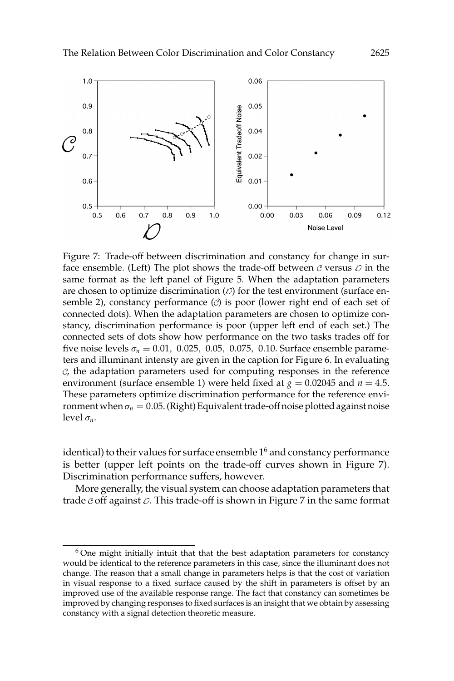

Figure 7: Trade-off between discrimination and constancy for change in surface ensemble. (Left) The plot shows the trade-off between  $C$  versus  $D$  in the same format as the left panel of Figure 5. When the adaptation parameters are chosen to optimize discrimination  $(0)$  for the test environment (surface ensemble 2), constancy performance  $(\mathcal{C})$  is poor (lower right end of each set of connected dots). When the adaptation parameters are chosen to optimize constancy, discrimination performance is poor (upper left end of each set.) The connected sets of dots show how performance on the two tasks trades off for five noise levels  $\sigma_n = 0.01$ , 0.025, 0.05, 0.075, 0.10. Surface ensemble parameters and illuminant intensty are given in the caption for Figure 6. In evaluating  $C<sub>i</sub>$ , the adaptation parameters used for computing responses in the reference environment (surface ensemble 1) were held fixed at  $g = 0.02045$  and  $n = 4.5$ . These parameters optimize discrimination performance for the reference environment when  $\sigma_n = 0.05$ . (Right) Equivalent trade-off noise plotted against noise level σ*n*.

identical) to their values for surface ensemble  $1<sup>6</sup>$  and constancy performance is better (upper left points on the trade-off curves shown in Figure 7). Discrimination performance suffers, however.

More generally, the visual system can choose adaptation parameters that trade  $\mathcal C$  off against  $\mathcal D$ . This trade-off is shown in Figure 7 in the same format

 $6$  One might initially intuit that that the best adaptation parameters for constancy would be identical to the reference parameters in this case, since the illuminant does not change. The reason that a small change in parameters helps is that the cost of variation in visual response to a fixed surface caused by the shift in parameters is offset by an improved use of the available response range. The fact that constancy can sometimes be improved by changing responses to fixed surfaces is an insight that we obtain by assessing constancy with a signal detection theoretic measure.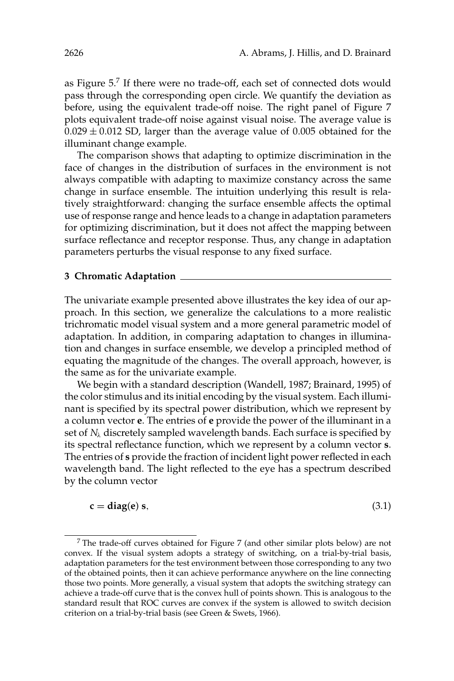as Figure 5.7 If there were no trade-off, each set of connected dots would pass through the corresponding open circle. We quantify the deviation as before, using the equivalent trade-off noise. The right panel of Figure 7 plots equivalent trade-off noise against visual noise. The average value is  $0.029 \pm 0.012$  SD, larger than the average value of 0.005 obtained for the illuminant change example.

The comparison shows that adapting to optimize discrimination in the face of changes in the distribution of surfaces in the environment is not always compatible with adapting to maximize constancy across the same change in surface ensemble. The intuition underlying this result is relatively straightforward: changing the surface ensemble affects the optimal use of response range and hence leads to a change in adaptation parameters for optimizing discrimination, but it does not affect the mapping between surface reflectance and receptor response. Thus, any change in adaptation parameters perturbs the visual response to any fixed surface.

#### **3 Chromatic Adaptation**

The univariate example presented above illustrates the key idea of our approach. In this section, we generalize the calculations to a more realistic trichromatic model visual system and a more general parametric model of adaptation. In addition, in comparing adaptation to changes in illumination and changes in surface ensemble, we develop a principled method of equating the magnitude of the changes. The overall approach, however, is the same as for the univariate example.

We begin with a standard description (Wandell, 1987; Brainard, 1995) of the color stimulus and its initial encoding by the visual system. Each illuminant is specified by its spectral power distribution, which we represent by a column vector **e**. The entries of **e** provide the power of the illuminant in a set of  $N_\lambda$  discretely sampled wavelength bands. Each surface is specified by its spectral reflectance function, which we represent by a column vector **s**. The entries of **s** provide the fraction of incident light power reflected in each wavelength band. The light reflected to the eye has a spectrum described by the column vector

$$
c = diag(e) s, \tag{3.1}
$$

 $7$  The trade-off curves obtained for Figure 7 (and other similar plots below) are not convex. If the visual system adopts a strategy of switching, on a trial-by-trial basis, adaptation parameters for the test environment between those corresponding to any two of the obtained points, then it can achieve performance anywhere on the line connecting those two points. More generally, a visual system that adopts the switching strategy can achieve a trade-off curve that is the convex hull of points shown. This is analogous to the standard result that ROC curves are convex if the system is allowed to switch decision criterion on a trial-by-trial basis (see Green & Swets, 1966).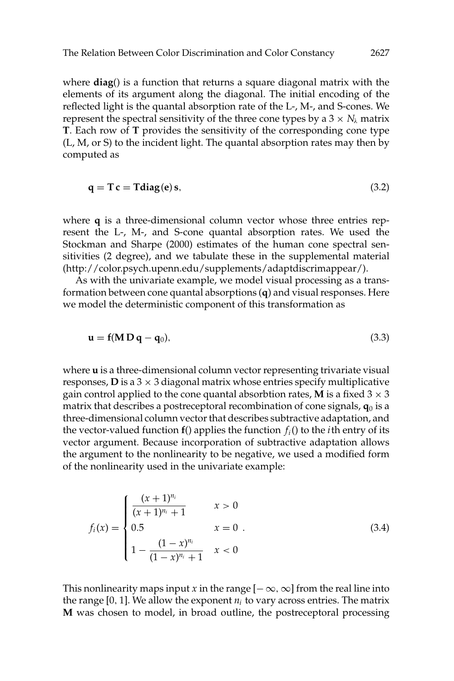where **diag**() is a function that returns a square diagonal matrix with the elements of its argument along the diagonal. The initial encoding of the reflected light is the quantal absorption rate of the L-, M-, and S-cones. We represent the spectral sensitivity of the three cone types by a  $3 \times N_\lambda$  matrix **T**. Each row of **T** provides the sensitivity of the corresponding cone type (L, M, or S) to the incident light. The quantal absorption rates may then by computed as

$$
q = T c = T diag(e) s,
$$
\n(3.2)

where **q** is a three-dimensional column vector whose three entries represent the L-, M-, and S-cone quantal absorption rates. We used the Stockman and Sharpe (2000) estimates of the human cone spectral sensitivities (2 degree), and we tabulate these in the supplemental material (http://color.psych.upenn.edu/supplements/adaptdiscrimappear/).

As with the univariate example, we model visual processing as a transformation between cone quantal absorptions (**q**) and visual responses. Here we model the deterministic component of this transformation as

$$
\mathbf{u} = \mathbf{f}(\mathbf{M} \mathbf{D} \mathbf{q} - \mathbf{q}_0),\tag{3.3}
$$

where **u** is a three-dimensional column vector representing trivariate visual responses, **D** is a  $3 \times 3$  diagonal matrix whose entries specify multiplicative gain control applied to the cone quantal absorbtion rates, **M** is a fixed  $3 \times 3$ matrix that describes a postreceptoral recombination of cone signals,  $q_0$  is a three-dimensional column vector that describes subtractive adaptation, and the vector-valued function  $f()$  applies the function  $f_i()$  to the *i*th entry of its vector argument. Because incorporation of subtractive adaptation allows the argument to the nonlinearity to be negative, we used a modified form of the nonlinearity used in the univariate example:

$$
f_i(x) = \begin{cases} \frac{(x+1)^{n_i}}{(x+1)^{n_i}+1} & x > 0\\ 0.5 & x = 0\\ 1 - \frac{(1-x)^{n_i}}{(1-x)^{n_i}+1} & x < 0 \end{cases}
$$
(3.4)

This nonlinearity maps input *x* in the range  $[-\infty, \infty]$  from the real line into the range  $[0, 1]$ . We allow the exponent  $n_i$  to vary across entries. The matrix **M** was chosen to model, in broad outline, the postreceptoral processing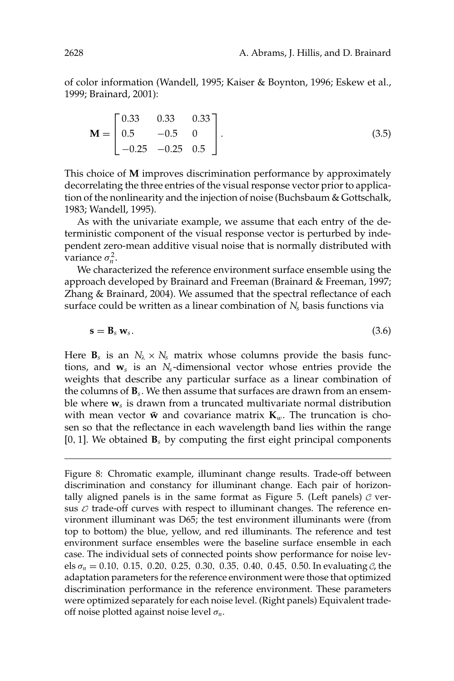of color information (Wandell, 1995; Kaiser & Boynton, 1996; Eskew et al., 1999; Brainard, 2001):

$$
\mathbf{M} = \begin{bmatrix} 0.33 & 0.33 & 0.33 \\ 0.5 & -0.5 & 0 \\ -0.25 & -0.25 & 0.5 \end{bmatrix}.
$$
 (3.5)

This choice of **M** improves discrimination performance by approximately decorrelating the three entries of the visual response vector prior to application of the nonlinearity and the injection of noise (Buchsbaum & Gottschalk, 1983; Wandell, 1995).

As with the univariate example, we assume that each entry of the deterministic component of the visual response vector is perturbed by independent zero-mean additive visual noise that is normally distributed with variance  $\sigma_n^2$ .

We characterized the reference environment surface ensemble using the approach developed by Brainard and Freeman (Brainard & Freeman, 1997; Zhang & Brainard, 2004). We assumed that the spectral reflectance of each surface could be written as a linear combination of *Ns* basis functions via

 $\mathbf{s} = \mathbf{B}_s \mathbf{w}_s.$  (3.6)

Here  $\mathbf{B}_s$  is an  $N_\lambda \times N_s$  matrix whose columns provide the basis functions, and  $w_s$  is an  $N_s$ -dimensional vector whose entries provide the weights that describe any particular surface as a linear combination of the columns of **B***s*. We then assume that surfaces are drawn from an ensemble where **w***<sup>s</sup>* is drawn from a truncated multivariate normal distribution with mean vector  $\bar{w}$  and covariance matrix  $K_w$ . The truncation is chosen so that the reflectance in each wavelength band lies within the range [0, 1]. We obtained **B***<sup>s</sup>* by computing the first eight principal components

Figure 8: Chromatic example, illuminant change results. Trade-off between discrimination and constancy for illuminant change. Each pair of horizontally aligned panels is in the same format as Figure 5. (Left panels)  $\mathcal C$  versus  $\mathcal O$  trade-off curves with respect to illuminant changes. The reference environment illuminant was D65; the test environment illuminants were (from top to bottom) the blue, yellow, and red illuminants. The reference and test environment surface ensembles were the baseline surface ensemble in each case. The individual sets of connected points show performance for noise levels  $\sigma_n = 0.10, 0.15, 0.20, 0.25, 0.30, 0.35, 0.40, 0.45, 0.50$ . In evaluating  $\mathcal{C}$ , the adaptation parameters for the reference environment were those that optimized discrimination performance in the reference environment. These parameters were optimized separately for each noise level. (Right panels) Equivalent tradeoff noise plotted against noise level σ*n*.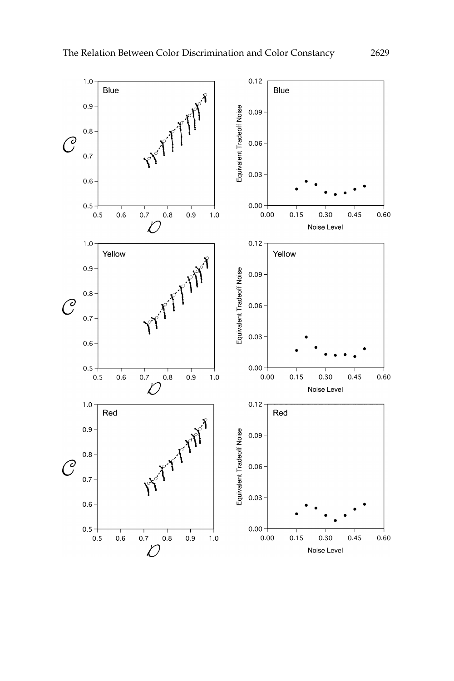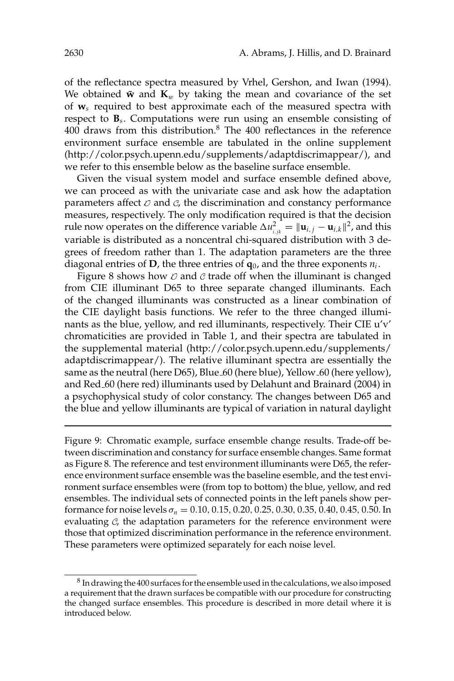of the reflectance spectra measured by Vrhel, Gershon, and Iwan (1994). We obtained  $\bar{w}$  and  $K_w$  by taking the mean and covariance of the set of **w***<sup>s</sup>* required to best approximate each of the measured spectra with respect to **B***s*. Computations were run using an ensemble consisting of  $400$  draws from this distribution.<sup>8</sup> The  $400$  reflectances in the reference environment surface ensemble are tabulated in the online supplement (http://color.psych.upenn.edu/supplements/adaptdiscrimappear/), and we refer to this ensemble below as the baseline surface ensemble.

Given the visual system model and surface ensemble defined above, we can proceed as with the univariate case and ask how the adaptation parameters affect  $\varnothing$  and  $\varnothing$ , the discrimination and constancy performance measures, respectively. The only modification required is that the decision rule now operates on the difference variable  $\Delta u_{i,jk}^2 = \|\mathbf{u}_{i,j} - \mathbf{u}_{i,k}\|^2$ , and this variable is distributed as a noncentral chi-squared distribution with 3 degrees of freedom rather than 1. The adaptation parameters are the three diagonal entries of **D**, the three entries of  $q_0$ , and the three exponents  $n_i$ .

Figure 8 shows how  $\mathcal O$  and  $\mathcal C$  trade off when the illuminant is changed from CIE illuminant D65 to three separate changed illuminants. Each of the changed illuminants was constructed as a linear combination of the CIE daylight basis functions. We refer to the three changed illuminants as the blue, yellow, and red illuminants, respectively. Their CIE u'v' chromaticities are provided in Table 1, and their spectra are tabulated in the supplemental material (http://color.psych.upenn.edu/supplements/ adaptdiscrimappear/). The relative illuminant spectra are essentially the same as the neutral (here D65), Blue 60 (here blue), Yellow 60 (here yellow), and Red 60 (here red) illuminants used by Delahunt and Brainard (2004) in a psychophysical study of color constancy. The changes between D65 and the blue and yellow illuminants are typical of variation in natural daylight

Figure 9: Chromatic example, surface ensemble change results. Trade-off between discrimination and constancy for surface ensemble changes. Same format as Figure 8. The reference and test environment illuminants were D65, the reference environment surface ensemble was the baseline esemble, and the test environment surface ensembles were (from top to bottom) the blue, yellow, and red ensembles. The individual sets of connected points in the left panels show performance for noise levels  $\sigma_n = 0.10, 0.15, 0.20, 0.25, 0.30, 0.35, 0.40, 0.45, 0.50$ . In evaluating  $C<sub>i</sub>$ , the adaptation parameters for the reference environment were those that optimized discrimination performance in the reference environment. These parameters were optimized separately for each noise level.

<sup>8</sup> In drawing the 400 surfaces for the ensemble used in the calculations, we also imposed a requirement that the drawn surfaces be compatible with our procedure for constructing the changed surface ensembles. This procedure is described in more detail where it is introduced below.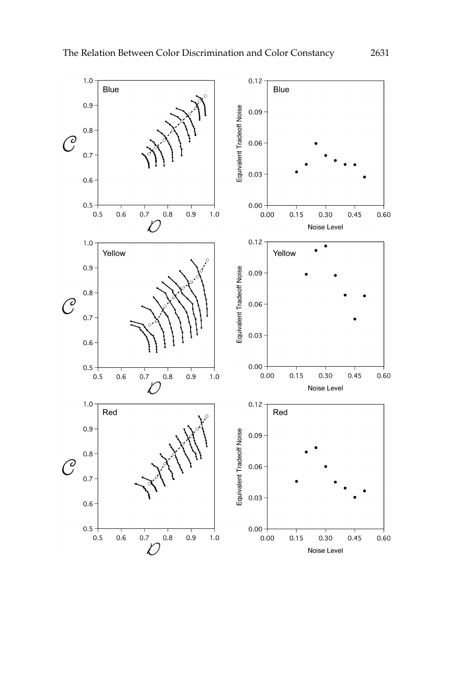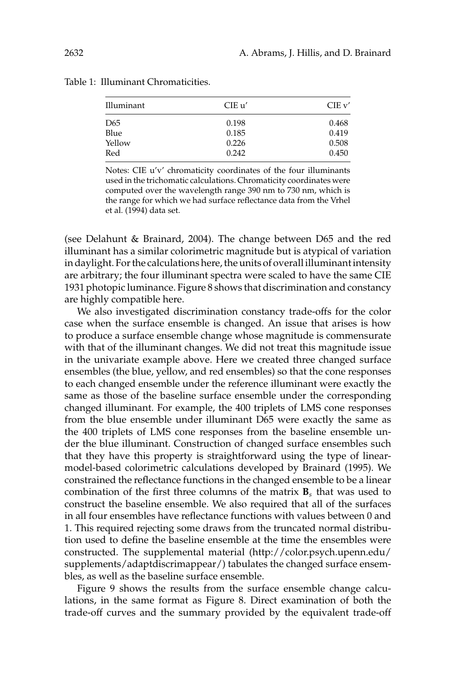| Illuminant | $CIE$ $u'$ | CIEV' |
|------------|------------|-------|
| D65        | 0.198      | 0.468 |
| Blue       | 0.185      | 0.419 |
| Yellow     | 0.226      | 0.508 |
| Red        | 0.242      | 0.450 |

Table 1: Illuminant Chromaticities.

Notes: CIE u'v' chromaticity coordinates of the four illuminants used in the trichomatic calculations. Chromaticity coordinates were computed over the wavelength range 390 nm to 730 nm, which is the range for which we had surface reflectance data from the Vrhel et al. (1994) data set.

(see Delahunt & Brainard, 2004). The change between D65 and the red illuminant has a similar colorimetric magnitude but is atypical of variation in daylight. For the calculations here, the units of overall illuminant intensity are arbitrary; the four illuminant spectra were scaled to have the same CIE 1931 photopic luminance. Figure 8 shows that discrimination and constancy are highly compatible here.

We also investigated discrimination constancy trade-offs for the color case when the surface ensemble is changed. An issue that arises is how to produce a surface ensemble change whose magnitude is commensurate with that of the illuminant changes. We did not treat this magnitude issue in the univariate example above. Here we created three changed surface ensembles (the blue, yellow, and red ensembles) so that the cone responses to each changed ensemble under the reference illuminant were exactly the same as those of the baseline surface ensemble under the corresponding changed illuminant. For example, the 400 triplets of LMS cone responses from the blue ensemble under illuminant D65 were exactly the same as the 400 triplets of LMS cone responses from the baseline ensemble under the blue illuminant. Construction of changed surface ensembles such that they have this property is straightforward using the type of linearmodel-based colorimetric calculations developed by Brainard (1995). We constrained the reflectance functions in the changed ensemble to be a linear combination of the first three columns of the matrix **B***<sup>s</sup>* that was used to construct the baseline ensemble. We also required that all of the surfaces in all four ensembles have reflectance functions with values between 0 and 1. This required rejecting some draws from the truncated normal distribution used to define the baseline ensemble at the time the ensembles were constructed. The supplemental material (http://color.psych.upenn.edu/ supplements/adaptdiscrimappear/) tabulates the changed surface ensembles, as well as the baseline surface ensemble.

Figure 9 shows the results from the surface ensemble change calculations, in the same format as Figure 8. Direct examination of both the trade-off curves and the summary provided by the equivalent trade-off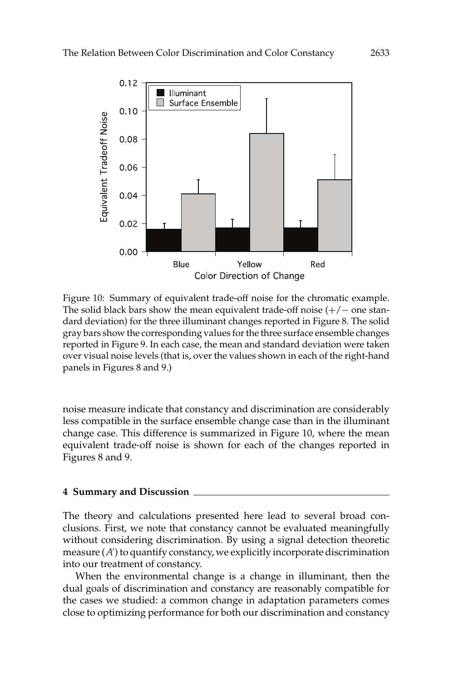

Figure 10: Summary of equivalent trade-off noise for the chromatic example. The solid black bars show the mean equivalent trade-off noise  $(+/-)$  one standard deviation) for the three illuminant changes reported in Figure 8. The solid gray bars show the corresponding values for the three surface ensemble changes reported in Figure 9. In each case, the mean and standard deviation were taken over visual noise levels (that is, over the values shown in each of the right-hand panels in Figures 8 and 9.)

noise measure indicate that constancy and discrimination are considerably less compatible in the surface ensemble change case than in the illuminant change case. This difference is summarized in Figure 10, where the mean equivalent trade-off noise is shown for each of the changes reported in Figures 8 and 9.

#### **4 Summary and Discussion**

The theory and calculations presented here lead to several broad conclusions. First, we note that constancy cannot be evaluated meaningfully without considering discrimination. By using a signal detection theoretic measure (*A* ) to quantify constancy, we explicitly incorporate discrimination into our treatment of constancy.

When the environmental change is a change in illuminant, then the dual goals of discrimination and constancy are reasonably compatible for the cases we studied: a common change in adaptation parameters comes close to optimizing performance for both our discrimination and constancy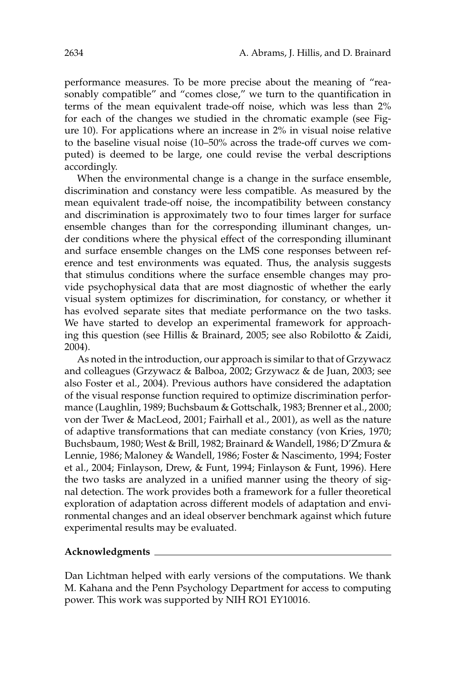performance measures. To be more precise about the meaning of "reasonably compatible" and "comes close," we turn to the quantification in terms of the mean equivalent trade-off noise, which was less than 2% for each of the changes we studied in the chromatic example (see Figure 10). For applications where an increase in 2% in visual noise relative to the baseline visual noise (10–50% across the trade-off curves we computed) is deemed to be large, one could revise the verbal descriptions accordingly.

When the environmental change is a change in the surface ensemble, discrimination and constancy were less compatible. As measured by the mean equivalent trade-off noise, the incompatibility between constancy and discrimination is approximately two to four times larger for surface ensemble changes than for the corresponding illuminant changes, under conditions where the physical effect of the corresponding illuminant and surface ensemble changes on the LMS cone responses between reference and test environments was equated. Thus, the analysis suggests that stimulus conditions where the surface ensemble changes may provide psychophysical data that are most diagnostic of whether the early visual system optimizes for discrimination, for constancy, or whether it has evolved separate sites that mediate performance on the two tasks. We have started to develop an experimental framework for approaching this question (see Hillis & Brainard, 2005; see also Robilotto & Zaidi, 2004).

As noted in the introduction, our approach is similar to that of Grzywacz and colleagues (Grzywacz & Balboa, 2002; Grzywacz & de Juan, 2003; see also Foster et al., 2004). Previous authors have considered the adaptation of the visual response function required to optimize discrimination performance (Laughlin, 1989; Buchsbaum & Gottschalk, 1983; Brenner et al., 2000; von der Twer & MacLeod, 2001; Fairhall et al., 2001), as well as the nature of adaptive transformations that can mediate constancy (von Kries, 1970; Buchsbaum, 1980; West & Brill, 1982; Brainard & Wandell, 1986; D'Zmura & Lennie, 1986; Maloney & Wandell, 1986; Foster & Nascimento, 1994; Foster et al., 2004; Finlayson, Drew, & Funt, 1994; Finlayson & Funt, 1996). Here the two tasks are analyzed in a unified manner using the theory of signal detection. The work provides both a framework for a fuller theoretical exploration of adaptation across different models of adaptation and environmental changes and an ideal observer benchmark against which future experimental results may be evaluated.

#### **Acknowledgments**

Dan Lichtman helped with early versions of the computations. We thank M. Kahana and the Penn Psychology Department for access to computing power. This work was supported by NIH RO1 EY10016.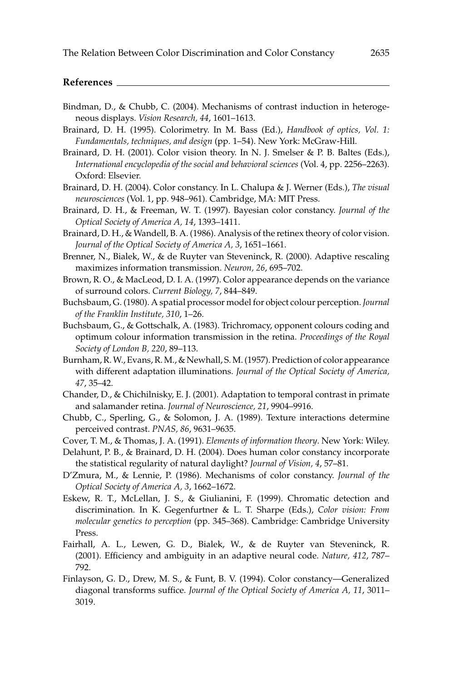| References |  |
|------------|--|
|------------|--|

- Bindman, D., & Chubb, C. (2004). Mechanisms of contrast induction in heterogeneous displays. *Vision Research, 44*, 1601–1613.
- Brainard, D. H. (1995). Colorimetry. In M. Bass (Ed.), *Handbook of optics, Vol. 1: Fundamentals, techniques, and design* (pp. 1–54). New York: McGraw-Hill.
- Brainard, D. H. (2001). Color vision theory. In N. J. Smelser & P. B. Baltes (Eds.), *International encyclopedia of the social and behavioral sciences* (Vol. 4, pp. 2256–2263). Oxford: Elsevier.
- Brainard, D. H. (2004). Color constancy. In L. Chalupa & J. Werner (Eds.), *The visual neurosciences* (Vol. 1, pp. 948–961). Cambridge, MA: MIT Press.
- Brainard, D. H., & Freeman, W. T. (1997). Bayesian color constancy. *Journal of the Optical Society of America A, 14*, 1393–1411.
- Brainard, D. H., & Wandell, B. A. (1986). Analysis of the retinex theory of color vision. *Journal of the Optical Society of America A, 3*, 1651–1661.
- Brenner, N., Bialek, W., & de Ruyter van Steveninck, R. (2000). Adaptive rescaling maximizes information transmission. *Neuron, 26*, 695–702.
- Brown, R. O., & MacLeod, D. I. A. (1997). Color appearance depends on the variance of surround colors. *Current Biology, 7*, 844–849.
- Buchsbaum, G. (1980). A spatial processor model for object colour perception. *Journal of the Franklin Institute, 310*, 1–26.
- Buchsbaum, G., & Gottschalk, A. (1983). Trichromacy, opponent colours coding and optimum colour information transmission in the retina. *Proceedings of the Royal Society of London B, 220*, 89–113.
- Burnham, R.W., Evans, R. M., & Newhall, S. M. (1957). Prediction of color appearance with different adaptation illuminations. *Journal of the Optical Society of America, 47*, 35–42.
- Chander, D., & Chichilnisky, E. J. (2001). Adaptation to temporal contrast in primate and salamander retina. *Journal of Neuroscience, 21*, 9904–9916.
- Chubb, C., Sperling, G., & Solomon, J. A. (1989). Texture interactions determine perceived contrast. *PNAS, 86*, 9631–9635.
- Cover, T. M., & Thomas, J. A. (1991). *Elements of information theory*. New York: Wiley.
- Delahunt, P. B., & Brainard, D. H. (2004). Does human color constancy incorporate the statistical regularity of natural daylight? *Journal of Vision, 4*, 57–81.
- D'Zmura, M., & Lennie, P. (1986). Mechanisms of color constancy. *Journal of the Optical Society of America A, 3*, 1662–1672.
- Eskew, R. T., McLellan, J. S., & Giulianini, F. (1999). Chromatic detection and discrimination. In K. Gegenfurtner & L. T. Sharpe (Eds.), *Color vision: From molecular genetics to perception* (pp. 345–368). Cambridge: Cambridge University Press.
- Fairhall, A. L., Lewen, G. D., Bialek, W., & de Ruyter van Steveninck, R. (2001). Efficiency and ambiguity in an adaptive neural code. *Nature, 412*, 787– 792.
- Finlayson, G. D., Drew, M. S., & Funt, B. V. (1994). Color constancy—Generalized diagonal transforms suffice. *Journal of the Optical Society of America A, 11*, 3011– 3019.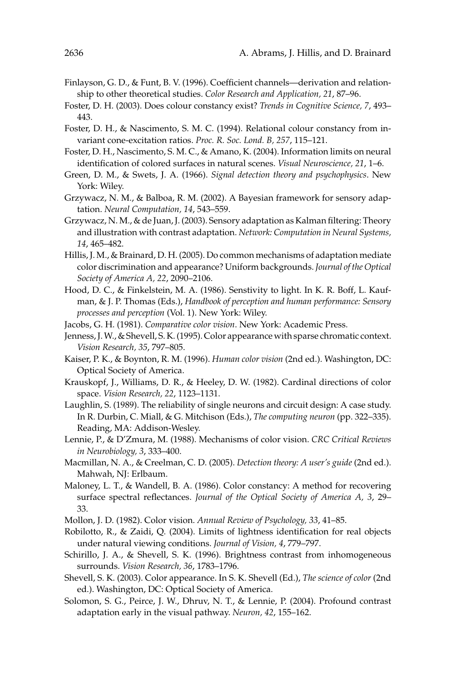- Finlayson, G. D., & Funt, B. V. (1996). Coefficient channels—derivation and relationship to other theoretical studies. *Color Research and Application, 21*, 87–96.
- Foster, D. H. (2003). Does colour constancy exist? *Trends in Cognitive Science, 7*, 493– 443.
- Foster, D. H., & Nascimento, S. M. C. (1994). Relational colour constancy from invariant cone-excitation ratios. *Proc. R. Soc. Lond. B, 257*, 115–121.
- Foster, D. H., Nascimento, S. M. C., & Amano, K. (2004). Information limits on neural identification of colored surfaces in natural scenes. *Visual Neuroscience, 21*, 1–6.
- Green, D. M., & Swets, J. A. (1966). *Signal detection theory and psychophysics*. New York: Wiley.
- Grzywacz, N. M., & Balboa, R. M. (2002). A Bayesian framework for sensory adaptation. *Neural Computation, 14*, 543–559.
- Grzywacz, N. M., & de Juan, J. (2003). Sensory adaptation as Kalman filtering: Theory and illustration with contrast adaptation. *Network: Computation in Neural Systems, 14*, 465–482.
- Hillis, J. M., & Brainard, D. H. (2005). Do common mechanisms of adaptation mediate color discrimination and appearance? Uniform backgrounds. *Journal of the Optical Society of America A, 22*, 2090–2106.
- Hood, D. C., & Finkelstein, M. A. (1986). Senstivity to light. In K. R. Boff, L. Kaufman, & J. P. Thomas (Eds.), *Handbook of perception and human performance: Sensory processes and perception* (Vol. 1). New York: Wiley.
- Jacobs, G. H. (1981). *Comparative color vision*. New York: Academic Press.
- Jenness, J.W., & Shevell, S. K. (1995). Color appearance with sparse chromatic context. *Vision Research, 35*, 797–805.
- Kaiser, P. K., & Boynton, R. M. (1996). *Human color vision* (2nd ed.). Washington, DC: Optical Society of America.
- Krauskopf, J., Williams, D. R., & Heeley, D. W. (1982). Cardinal directions of color space. *Vision Research, 22*, 1123–1131.
- Laughlin, S. (1989). The reliability of single neurons and circuit design: A case study. In R. Durbin, C. Miall, & G. Mitchison (Eds.), *The computing neuron* (pp. 322–335). Reading, MA: Addison-Wesley.
- Lennie, P., & D'Zmura, M. (1988). Mechanisms of color vision. *CRC Critical Reviews in Neurobiology, 3*, 333–400.
- Macmillan, N. A., & Creelman, C. D. (2005). *Detection theory: A user's guide* (2nd ed.). Mahwah, NJ: Erlbaum.
- Maloney, L. T., & Wandell, B. A. (1986). Color constancy: A method for recovering surface spectral reflectances. *Journal of the Optical Society of America A, 3*, 29– 33.
- Mollon, J. D. (1982). Color vision. *Annual Review of Psychology, 33*, 41–85.
- Robilotto, R., & Zaidi, Q. (2004). Limits of lightness identification for real objects under natural viewing conditions. *Journal of Vision, 4*, 779–797.
- Schirillo, J. A., & Shevell, S. K. (1996). Brightness contrast from inhomogeneous surrounds. *Vision Research, 36*, 1783–1796.
- Shevell, S. K. (2003). Color appearance. In S. K. Shevell (Ed.), *The science of color* (2nd ed.). Washington, DC: Optical Society of America.
- Solomon, S. G., Peirce, J. W., Dhruv, N. T., & Lennie, P. (2004). Profound contrast adaptation early in the visual pathway. *Neuron, 42*, 155–162.